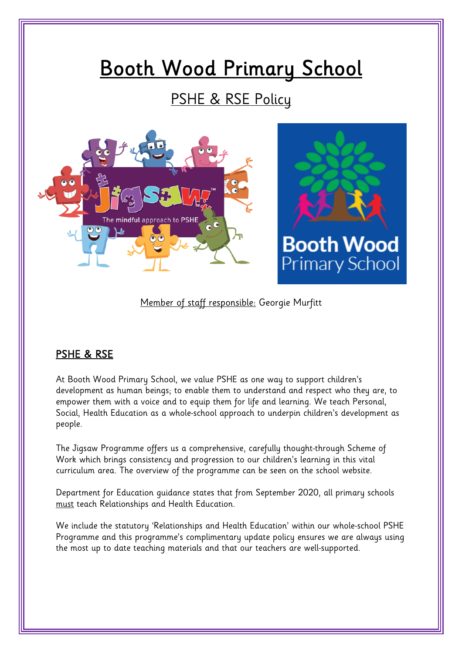# Booth Wood Primary School

# PSHE & RSE Policy





#### Member of staff responsible: Georgie Murfitt

#### PSHE & RSE

At Booth Wood Primary School, we value PSHE as one way to support children's development as human beings; to enable them to understand and respect who they are, to empower them with a voice and to equip them for life and learning. We teach Personal, Social, Health Education as a whole-school approach to underpin children's development as people.

The Jigsaw Programme offers us a comprehensive, carefully thought-through Scheme of Work which brings consistency and progression to our children's learning in this vital curriculum area. The overview of the programme can be seen on the school website.

Department for Education guidance states that from September 2020, all primary schools must teach Relationships and Health Education.

We include the statutory 'Relationships and Health Education' within our whole-school PSHE Programme and this programme's complimentary update policy ensures we are always using the most up to date teaching materials and that our teachers are well-supported.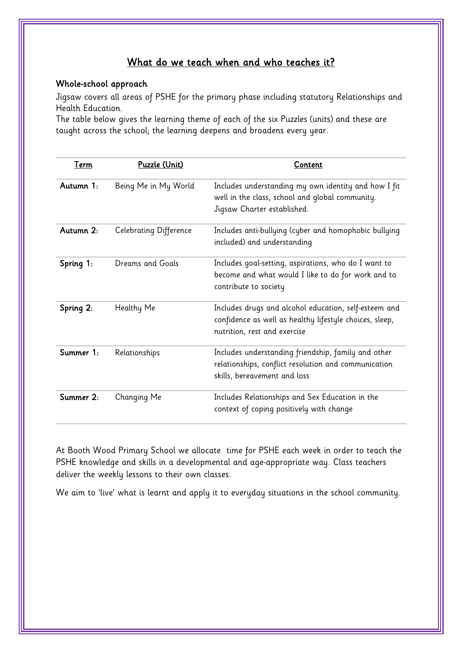#### What do we teach when and who teaches it?

#### Whole-school approach

Jigsaw covers all areas of PSHE for the primary phase including statutory Relationships and Health Education.

The table below gives the learning theme of each of the six Puzzles (units) and these are taught across the school; the learning deepens and broadens every year.

| Term      | Puzzle (Unit)          | Content                                                                                                                                          |
|-----------|------------------------|--------------------------------------------------------------------------------------------------------------------------------------------------|
| Autumn 1: | Being Me in My World   | Includes understanding my own identity and how I fit<br>well in the class, school and global community.<br>Jigsaw Charter established.           |
| Autumn 2: | Celebrating Difference | Includes anti-bullying (cyber and homophobic bullying<br>included) and understanding                                                             |
| Spring 1: | Dreams and Goals       | Includes goal-setting, aspirations, who do I want to<br>become and what would I like to do for work and to<br>contribute to society              |
| Spring 2: | Healthy Me             | Includes drugs and alcohol education, self-esteem and<br>confidence as well as healthy lifestyle choices, sleep,<br>nutrition, rest and exercise |
| Summer 1: | Relationships          | Includes understanding friendship, family and other<br>relationships, conflict resolution and communication<br>skills, bereavement and loss      |
| Summer 2: | Changing Me            | Includes Relationships and Sex Education in the<br>context of coping positively with change                                                      |

At Booth Wood Primary School we allocate time for PSHE each week in order to teach the PSHE knowledge and skills in a developmental and age-appropriate way. Class teachers deliver the weekly lessons to their own classes.

We aim to 'live' what is learnt and apply it to everyday situations in the school community.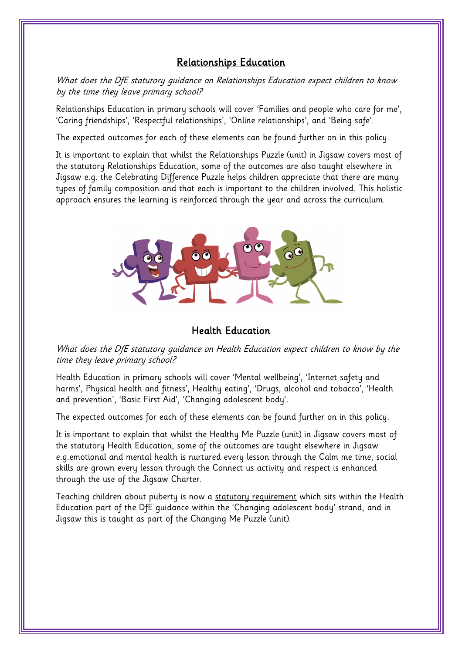#### Relationships Education

What does the DfE statutory quidance on Relationships Education expect children to know by the time they leave primary school?

Relationships Education in primary schools will cover 'Families and people who care for me', 'Caring friendships', 'Respectful relationships', 'Online relationships', and 'Being safe'.

The expected outcomes for each of these elements can be found further on in this policy.

It is important to explain that whilst the Relationships Puzzle (unit) in Jigsaw covers most of the statutory Relationships Education, some of the outcomes are also taught elsewhere in Jigsaw e.g. the Celebrating Difference Puzzle helps children appreciate that there are many types of family composition and that each is important to the children involved. This holistic approach ensures the learning is reinforced through the year and across the curriculum.



#### Health Education

What does the DfE statutory quidance on Health Education expect children to know by the time they leave primary school?

Health Education in primary schools will cover 'Mental wellbeing', 'Internet safety and harms', Physical health and fitness', Healthy eating', 'Drugs, alcohol and tobacco', 'Health and prevention', 'Basic First Aid', 'Changing adolescent body'.

The expected outcomes for each of these elements can be found further on in this policy.

It is important to explain that whilst the Healthy Me Puzzle (unit) in Jigsaw covers most of the statutory Health Education, some of the outcomes are taught elsewhere in Jigsaw e.g.emotional and mental health is nurtured every lesson through the Calm me time, social skills are grown every lesson through the Connect us activity and respect is enhanced through the use of the Jigsaw Charter.

Teaching children about puberty is now a statutory requirement which sits within the Health Education part of the DfE guidance within the 'Changing adolescent body' strand, and in Jigsaw this is taught as part of the Changing Me Puzzle (unit).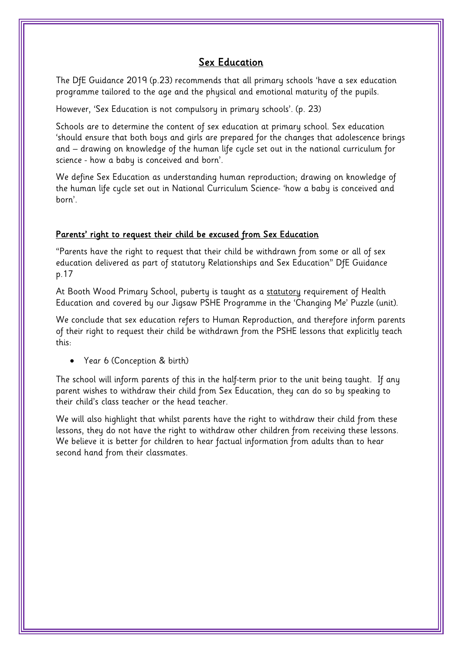#### Sex Education

The DfE Guidance 2019 (p.23) recommends that all primary schools 'have a sex education programme tailored to the age and the physical and emotional maturity of the pupils.

However, 'Sex Education is not compulsory in primary schools'. (p. 23)

Schools are to determine the content of sex education at primary school. Sex education 'should ensure that both boys and girls are prepared for the changes that adolescence brings and – drawing on knowledge of the human life cycle set out in the national curriculum for science - how a baby is conceived and born'.

We define Sex Education as understanding human reproduction; drawing on knowledge of the human life cycle set out in National Curriculum Science- 'how a baby is conceived and born'.

#### Parents' right to request their child be excused from Sex Education

"Parents have the right to request that their child be withdrawn from some or all of sex education delivered as part of statutory Relationships and Sex Education" DfE Guidance p.17

At Booth Wood Primary School, puberty is taught as a statutory requirement of Health Education and covered by our Jigsaw PSHE Programme in the 'Changing Me' Puzzle (unit).

We conclude that sex education refers to Human Reproduction, and therefore inform parents of their right to request their child be withdrawn from the PSHE lessons that explicitly teach this:

• Year 6 (Conception & birth)

The school will inform parents of this in the half-term prior to the unit being taught. If any parent wishes to withdraw their child from Sex Education, they can do so by speaking to their child's class teacher or the head teacher.

We will also highlight that whilst parents have the right to withdraw their child from these lessons, they do not have the right to withdraw other children from receiving these lessons. We believe it is better for children to hear factual information from adults than to hear second hand from their classmates.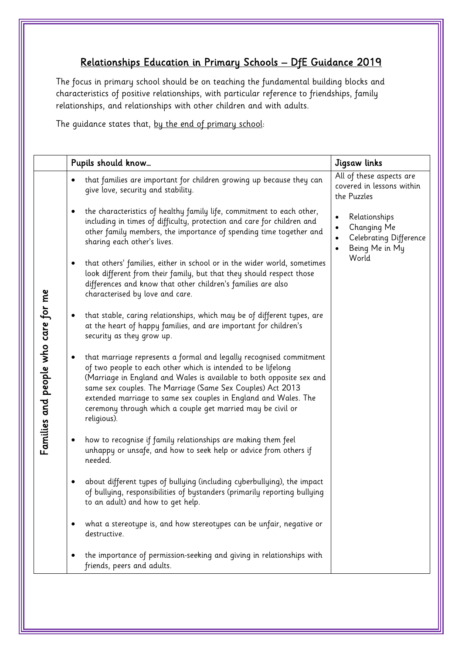### Relationships Education in Primary Schools – DfE Guidance 2019

The focus in primary school should be on teaching the fundamental building blocks and characteristics of positive relationships, with particular reference to friendships, family relationships, and relationships with other children and with adults.

The guidance states that, by the end of primary school:

|                                     | Pupils should know                                                                                                                                                                                                                                                                                                                                                                                                         | Jigsaw links                                                             |
|-------------------------------------|----------------------------------------------------------------------------------------------------------------------------------------------------------------------------------------------------------------------------------------------------------------------------------------------------------------------------------------------------------------------------------------------------------------------------|--------------------------------------------------------------------------|
| Families and people who care for me | that families are important for children growing up because they can<br>give love, security and stability.                                                                                                                                                                                                                                                                                                                 | All of these aspects are<br>covered in lessons within<br>the Puzzles     |
|                                     | the characteristics of healthy family life, commitment to each other,<br>including in times of difficulty, protection and care for children and<br>other family members, the importance of spending time together and<br>sharing each other's lives.                                                                                                                                                                       | Relationships<br>Changing Me<br>Celebrating Difference<br>Being Me in My |
|                                     | that others' families, either in school or in the wider world, sometimes<br>$\bullet$<br>look different from their family, but that they should respect those<br>differences and know that other children's families are also<br>characterised by love and care.                                                                                                                                                           | World                                                                    |
|                                     | that stable, caring relationships, which may be of different types, are<br>at the heart of happy families, and are important for children's<br>security as they grow up.                                                                                                                                                                                                                                                   |                                                                          |
|                                     | that marriage represents a formal and legally recognised commitment<br>of two people to each other which is intended to be lifelong<br>(Marriage in England and Wales is available to both opposite sex and<br>same sex couples. The Marriage (Same Sex Couples) Act 2013<br>extended marriage to same sex couples in England and Wales. The<br>ceremony through which a couple get married may be civil or<br>religious). |                                                                          |
|                                     | how to recognise if family relationships are making them feel<br>unhappy or unsafe, and how to seek help or advice from others if<br>needed.                                                                                                                                                                                                                                                                               |                                                                          |
|                                     | about different types of bullying (including cyberbullying), the impact<br>of bullying, responsibilities of bystanders (primarily reporting bullying<br>to an adult) and how to get help.                                                                                                                                                                                                                                  |                                                                          |
|                                     | what a stereotype is, and how stereotypes can be unfair, negative or<br>destructive.                                                                                                                                                                                                                                                                                                                                       |                                                                          |
|                                     | the importance of permission-seeking and giving in relationships with<br>friends, peers and adults.                                                                                                                                                                                                                                                                                                                        |                                                                          |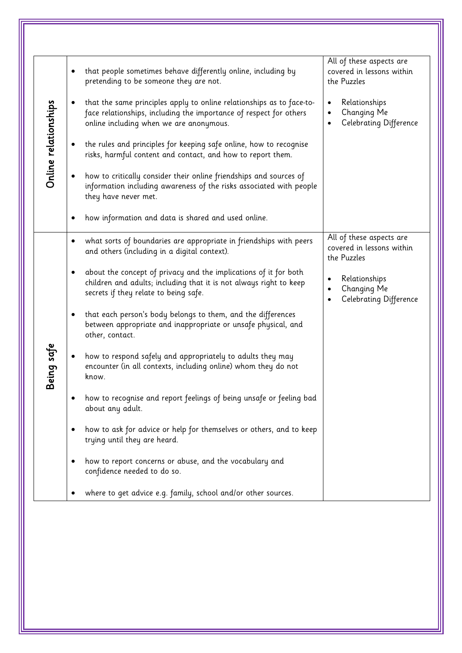| Online relationships | that people sometimes behave differently online, including by<br>pretending to be someone they are not.                                                                                     | All of these aspects are<br>covered in lessons within<br>the Puzzles |
|----------------------|---------------------------------------------------------------------------------------------------------------------------------------------------------------------------------------------|----------------------------------------------------------------------|
|                      | that the same principles apply to online relationships as to face-to-<br>٠<br>face relationships, including the importance of respect for others<br>online including when we are anonymous. | Relationships<br>$\bullet$<br>Changing Me<br>Celebrating Difference  |
|                      | the rules and principles for keeping safe online, how to recognise<br>risks, harmful content and contact, and how to report them.                                                           |                                                                      |
|                      | how to critically consider their online friendships and sources of<br>$\bullet$<br>information including awareness of the risks associated with people<br>they have never met.              |                                                                      |
|                      | how information and data is shared and used online.                                                                                                                                         |                                                                      |
| Being safe           | what sorts of boundaries are appropriate in friendships with peers<br>٠<br>and others (including in a digital context).                                                                     | All of these aspects are<br>covered in lessons within<br>the Puzzles |
|                      | about the concept of privacy and the implications of it for both<br>٠<br>children and adults; including that it is not always right to keep<br>secrets if they relate to being safe.        | Relationships<br>Changing Me<br>Celebrating Difference               |
|                      | that each person's body belongs to them, and the differences<br>٠<br>between appropriate and inappropriate or unsafe physical, and<br>other, contact.                                       |                                                                      |
|                      | how to respond safely and appropriately to adults they may<br>encounter (in all contexts, including online) whom they do not<br>know.                                                       |                                                                      |
|                      | how to recognise and report feelings of being unsafe or feeling bad<br>about any adult.                                                                                                     |                                                                      |
|                      | how to ask for advice or help for themselves or others, and to keep<br>trying until they are heard.                                                                                         |                                                                      |
|                      | how to report concerns or abuse, and the vocabulary and<br>confidence needed to do so.                                                                                                      |                                                                      |
|                      | where to get advice e.g. family, school and/or other sources.                                                                                                                               |                                                                      |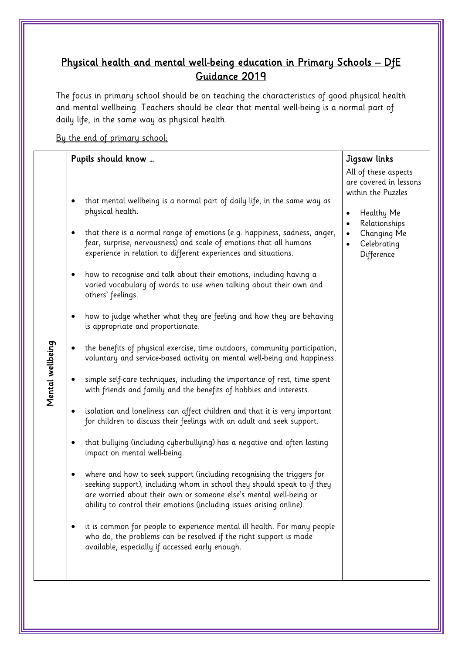## Physical health and mental well-being education in Primary Schools – DfE Guidance 2019

The focus in primary school should be on teaching the characteristics of good physical health and mental wellbeing. Teachers should be clear that mental well-being is a normal part of daily life, in the same way as physical health.

By the end of primary school: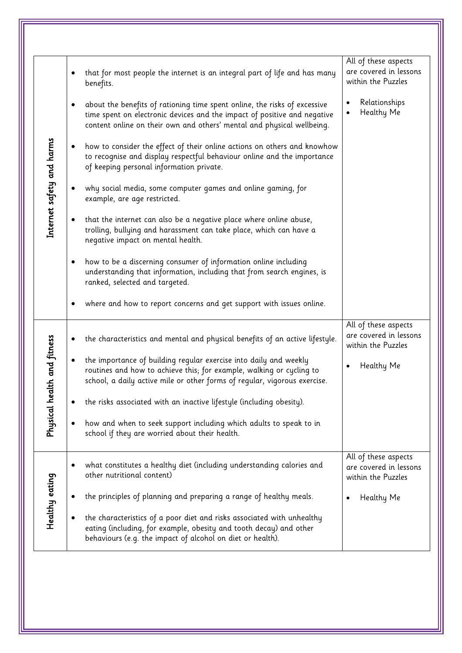| Internet safety and harms   | that for most people the internet is an integral part of life and has many<br>$\bullet$<br>benefits.                                                                                                                                         | All of these aspects<br>are covered in lessons<br>within the Puzzles |
|-----------------------------|----------------------------------------------------------------------------------------------------------------------------------------------------------------------------------------------------------------------------------------------|----------------------------------------------------------------------|
|                             | about the benefits of rationing time spent online, the risks of excessive<br>$\bullet$<br>time spent on electronic devices and the impact of positive and negative<br>content online on their own and others' mental and physical wellbeing. | Relationships<br>Healthy Me                                          |
|                             | how to consider the effect of their online actions on others and knowhow<br>$\bullet$<br>to recognise and display respectful behaviour online and the importance<br>of keeping personal information private.                                 |                                                                      |
|                             | why social media, some computer games and online gaming, for<br>$\bullet$<br>example, are age restricted.                                                                                                                                    |                                                                      |
|                             | that the internet can also be a negative place where online abuse,<br>$\bullet$<br>trolling, bullying and harassment can take place, which can have a<br>negative impact on mental health.                                                   |                                                                      |
|                             | how to be a discerning consumer of information online including<br>$\bullet$<br>understanding that information, including that from search engines, is<br>ranked, selected and targeted.                                                     |                                                                      |
|                             | where and how to report concerns and get support with issues online.<br>$\bullet$                                                                                                                                                            |                                                                      |
| Physical health and fitness | the characteristics and mental and physical benefits of an active lifestyle.<br>$\bullet$                                                                                                                                                    | All of these aspects<br>are covered in lessons<br>within the Puzzles |
|                             | the importance of building regular exercise into daily and weekly<br>$\bullet$<br>routines and how to achieve this; for example, walking or cycling to<br>school, a daily active mile or other forms of regular, vigorous exercise.          | Healthy Me                                                           |
|                             | the risks associated with an inactive lifestyle (including obesity).<br>$\bullet$                                                                                                                                                            |                                                                      |
|                             | how and when to seek support including which adults to speak to in<br>$\bullet$<br>school if they are worried about their health.                                                                                                            |                                                                      |
| Healthy eating              | what constitutes a healthy diet (including understanding calories and<br>٠<br>other nutritional content)                                                                                                                                     | All of these aspects<br>are covered in lessons<br>within the Puzzles |
|                             | the principles of planning and preparing a range of healthy meals.                                                                                                                                                                           | Healthy Me                                                           |
|                             | the characteristics of a poor diet and risks associated with unhealthy<br>eating (including, for example, obesity and tooth decay) and other<br>behaviours (e.g. the impact of alcohol on diet or health).                                   |                                                                      |